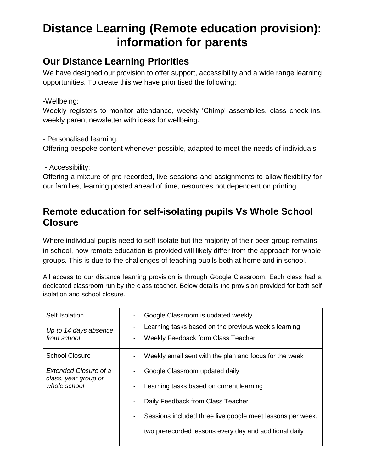# **Distance Learning (Remote education provision): information for parents**

# **Our Distance Learning Priorities**

We have designed our provision to offer support, accessibility and a wide range learning opportunities. To create this we have prioritised the following:

#### -Wellbeing:

Weekly registers to monitor attendance, weekly 'Chimp' assemblies, class check-ins, weekly parent newsletter with ideas for wellbeing.

- Personalised learning:

Offering bespoke content whenever possible, adapted to meet the needs of individuals

#### - Accessibility:

Offering a mixture of pre-recorded, live sessions and assignments to allow flexibility for our families, learning posted ahead of time, resources not dependent on printing

## **Remote education for self-isolating pupils Vs Whole School Closure**

Where individual pupils need to self-isolate but the majority of their peer group remains in school, how remote education is provided will likely differ from the approach for whole groups. This is due to the challenges of teaching pupils both at home and in school.

All access to our distance learning provision is through Google Classroom. Each class had a dedicated classroom run by the class teacher. Below details the provision provided for both self isolation and school closure.

| Self Isolation<br>Up to 14 days absence<br>from school        | Google Classroom is updated weekly<br>-<br>Learning tasks based on the previous week's learning<br>-<br>Weekly Feedback form Class Teacher<br>- |
|---------------------------------------------------------------|-------------------------------------------------------------------------------------------------------------------------------------------------|
| <b>School Closure</b>                                         | Weekly email sent with the plan and focus for the week<br>-                                                                                     |
| Extended Closure of a<br>class, year group or<br>whole school | Google Classroom updated daily<br>-                                                                                                             |
|                                                               | Learning tasks based on current learning<br>-                                                                                                   |
|                                                               | Daily Feedback from Class Teacher<br>-                                                                                                          |
|                                                               | Sessions included three live google meet lessons per week,<br>-                                                                                 |
|                                                               | two prerecorded lessons every day and additional daily                                                                                          |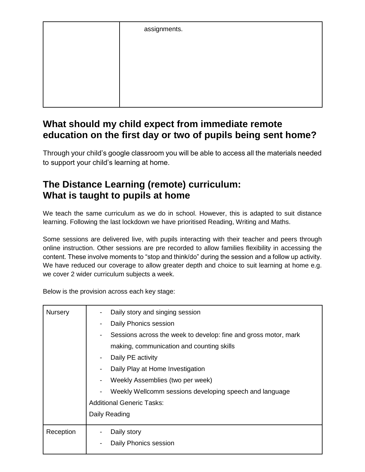| assignments. |
|--------------|
|              |
|              |
|              |
|              |
|              |

### **What should my child expect from immediate remote education on the first day or two of pupils being sent home?**

Through your child's google classroom you will be able to access all the materials needed to support your child's learning at home.

# **The Distance Learning (remote) curriculum: What is taught to pupils at home**

We teach the same curriculum as we do in school. However, this is adapted to suit distance learning. Following the last lockdown we have prioritised Reading, Writing and Maths.

Some sessions are delivered live, with pupils interacting with their teacher and peers through online instruction. Other sessions are pre recorded to allow families flexibility in accessing the content. These involve moments to "stop and think/do" during the session and a follow up activity. We have reduced our coverage to allow greater depth and choice to suit learning at home e.g. we cover 2 wider curriculum subjects a week.

Below is the provision across each key stage:

| <b>Nursery</b> | Daily story and singing session<br>-<br>Daily Phonics session<br>$\overline{\phantom{a}}$<br>Sessions across the week to develop: fine and gross motor, mark<br>$\overline{\phantom{a}}$<br>making, communication and counting skills |  |  |  |  |  |  |
|----------------|---------------------------------------------------------------------------------------------------------------------------------------------------------------------------------------------------------------------------------------|--|--|--|--|--|--|
|                | Daily PE activity<br>$\blacksquare$                                                                                                                                                                                                   |  |  |  |  |  |  |
|                | Daily Play at Home Investigation<br>$\blacksquare$                                                                                                                                                                                    |  |  |  |  |  |  |
|                | Weekly Assemblies (two per week)<br>$\overline{\phantom{a}}$                                                                                                                                                                          |  |  |  |  |  |  |
|                | Weekly Wellcomm sessions developing speech and language                                                                                                                                                                               |  |  |  |  |  |  |
|                | <b>Additional Generic Tasks:</b>                                                                                                                                                                                                      |  |  |  |  |  |  |
|                | Daily Reading                                                                                                                                                                                                                         |  |  |  |  |  |  |
| Reception      | Daily story<br>$\qquad \qquad \blacksquare$                                                                                                                                                                                           |  |  |  |  |  |  |
|                | Daily Phonics session                                                                                                                                                                                                                 |  |  |  |  |  |  |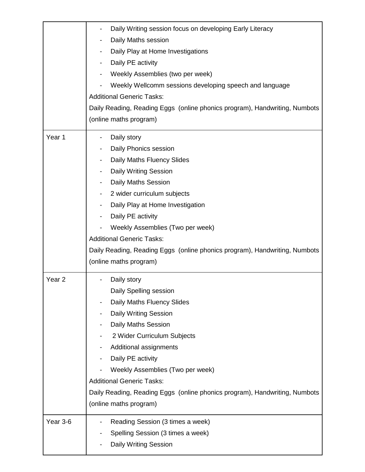|                   | Daily Writing session focus on developing Early Literacy<br>Daily Maths session<br>Daily Play at Home Investigations<br>Daily PE activity<br>$\overline{\phantom{a}}$<br>Weekly Assemblies (two per week)<br>Weekly Wellcomm sessions developing speech and language<br><b>Additional Generic Tasks:</b><br>Daily Reading, Reading Eggs (online phonics program), Handwriting, Numbots<br>(online maths program)                     |  |  |  |  |
|-------------------|--------------------------------------------------------------------------------------------------------------------------------------------------------------------------------------------------------------------------------------------------------------------------------------------------------------------------------------------------------------------------------------------------------------------------------------|--|--|--|--|
| Year 1            | Daily story<br>Daily Phonics session<br>Daily Maths Fluency Slides<br><b>Daily Writing Session</b><br>$\overline{\phantom{a}}$<br><b>Daily Maths Session</b><br>2 wider curriculum subjects<br>Daily Play at Home Investigation<br>Daily PE activity<br>Weekly Assemblies (Two per week)<br><b>Additional Generic Tasks:</b><br>Daily Reading, Reading Eggs (online phonics program), Handwriting, Numbots<br>(online maths program) |  |  |  |  |
| Year <sub>2</sub> | Daily story<br>Daily Spelling session<br>Daily Maths Fluency Slides<br>Daily Writing Session<br>Daily Maths Session<br>2 Wider Curriculum Subjects<br>Additional assignments<br>Daily PE activity<br>Weekly Assemblies (Two per week)<br><b>Additional Generic Tasks:</b><br>Daily Reading, Reading Eggs (online phonics program), Handwriting, Numbots<br>(online maths program)                                                    |  |  |  |  |
| Year 3-6          | Reading Session (3 times a week)<br>Spelling Session (3 times a week)<br>Daily Writing Session                                                                                                                                                                                                                                                                                                                                       |  |  |  |  |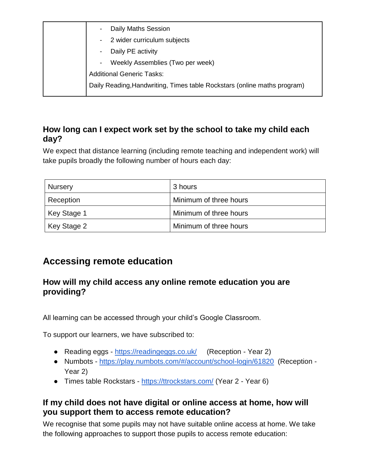| Daily Maths Session<br>$\overline{\phantom{a}}$                          |
|--------------------------------------------------------------------------|
| 2 wider curriculum subjects<br>-                                         |
| Daily PE activity<br>$\blacksquare$                                      |
| Weekly Assemblies (Two per week)<br>-                                    |
| <b>Additional Generic Tasks:</b>                                         |
| Daily Reading, Handwriting, Times table Rockstars (online maths program) |
|                                                                          |

### **How long can I expect work set by the school to take my child each day?**

We expect that distance learning (including remote teaching and independent work) will take pupils broadly the following number of hours each day:

| <b>Nursery</b> | 3 hours                |
|----------------|------------------------|
| Reception      | Minimum of three hours |
| Key Stage 1    | Minimum of three hours |
| Key Stage 2    | Minimum of three hours |

# **Accessing remote education**

### **How will my child access any online remote education you are providing?**

All learning can be accessed through your child's Google Classroom.

To support our learners, we have subscribed to:

- Reading eggs <https://readingeggs.co.uk/>(Reception Year 2)
- Numbots <https://play.numbots.com/#/account/school-login/61820>(Reception Year 2)
- Times table Rockstars <https://ttrockstars.com/> (Year 2 Year 6)

### **If my child does not have digital or online access at home, how will you support them to access remote education?**

We recognise that some pupils may not have suitable online access at home. We take the following approaches to support those pupils to access remote education: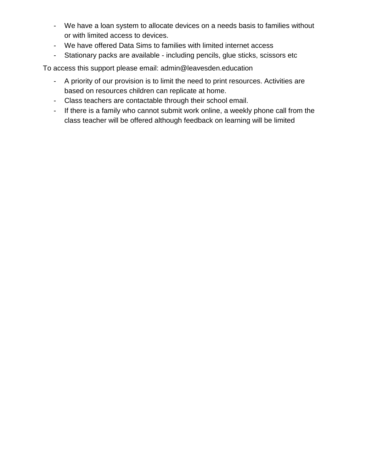- We have a loan system to allocate devices on a needs basis to families without or with limited access to devices.
- We have offered Data Sims to families with limited internet access
- Stationary packs are available including pencils, glue sticks, scissors etc

To access this support please email: admin@leavesden.education

- A priority of our provision is to limit the need to print resources. Activities are based on resources children can replicate at home.
- Class teachers are contactable through their school email.
- If there is a family who cannot submit work online, a weekly phone call from the class teacher will be offered although feedback on learning will be limited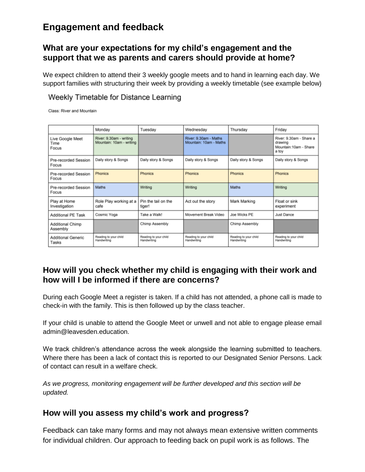## **Engagement and feedback**

#### **What are your expectations for my child's engagement and the support that we as parents and carers should provide at home?**

We expect children to attend their 3 weekly google meets and to hand in learning each day. We support families with structuring their week by providing a weekly timetable (see example below)

#### Weekly Timetable for Distance Learning

Class: River and Mountain

|                                    | Monday                                              | Tuesday                              | Wednesday                                       | Thursday                             | Friday                                                               |
|------------------------------------|-----------------------------------------------------|--------------------------------------|-------------------------------------------------|--------------------------------------|----------------------------------------------------------------------|
| Live Google Meet<br>Time<br>Focus  | River: 9.30am - writing<br>Mountain: 10am - writing |                                      | River: 9.30am - Maths<br>Mountain: 10am - Maths |                                      | River: 9.30am - Share a<br>drawing<br>Mountain:10am - Share<br>a tov |
| Pre-recorded Session<br>Focus      | Daily story & Songs                                 | Daily story & Songs                  | Daily story & Songs                             | Daily story & Songs                  | Daily story & Songs                                                  |
| Pre-recorded Session<br>Focus      | Phonics                                             | <b>Phonics</b>                       | <b>Phonics</b>                                  | <b>Phonics</b>                       | <b>Phonics</b>                                                       |
| Pre-recorded Session<br>Focus      | Maths                                               | Writing                              | Writing                                         | Maths                                | Writing                                                              |
| Play at Home<br>Investigation      | Role Play working at a<br>cafe                      | Pin the tail on the<br>tiger!        | Act out the story                               | Mark Marking                         | Float or sink<br>experiment                                          |
| <b>Additional PE Task</b>          | Cosmic Yoga                                         | Take a Walk!                         | Movement Break Video                            | Joe Wicks PE                         | Just Dance                                                           |
| Additional Chimp<br>Assembly       |                                                     | Chimp Assembly                       |                                                 | Chimp Assembly                       |                                                                      |
| <b>Additional Generic</b><br>Tasks | Reading to your child<br>Handwriting                | Reading to your child<br>Handwriting | Reading to your child<br>Handwriting            | Reading to your child<br>Handwriting | Reading to your child<br>Handwriting                                 |

### **How will you check whether my child is engaging with their work and how will I be informed if there are concerns?**

During each Google Meet a register is taken. If a child has not attended, a phone call is made to check-in with the family. This is then followed up by the class teacher.

If your child is unable to attend the Google Meet or unwell and not able to engage please email admin@leavesden.education.

We track children's attendance across the week alongside the learning submitted to teachers. Where there has been a lack of contact this is reported to our Designated Senior Persons. Lack of contact can result in a welfare check.

*As we progress, monitoring engagement will be further developed and this section will be updated.* 

#### **How will you assess my child's work and progress?**

Feedback can take many forms and may not always mean extensive written comments for individual children. Our approach to feeding back on pupil work is as follows. The